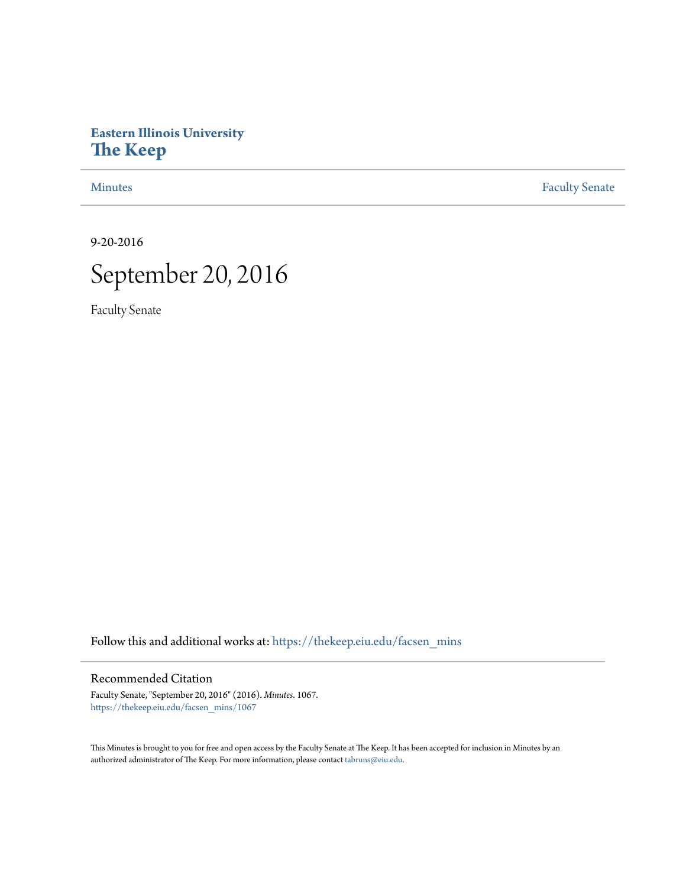# **Eastern Illinois University [The Keep](https://thekeep.eiu.edu?utm_source=thekeep.eiu.edu%2Ffacsen_mins%2F1067&utm_medium=PDF&utm_campaign=PDFCoverPages)**

[Minutes](https://thekeep.eiu.edu/facsen_mins?utm_source=thekeep.eiu.edu%2Ffacsen_mins%2F1067&utm_medium=PDF&utm_campaign=PDFCoverPages) **[Faculty Senate](https://thekeep.eiu.edu/fac_senate?utm_source=thekeep.eiu.edu%2Ffacsen_mins%2F1067&utm_medium=PDF&utm_campaign=PDFCoverPages)** 

9-20-2016



Faculty Senate

Follow this and additional works at: [https://thekeep.eiu.edu/facsen\\_mins](https://thekeep.eiu.edu/facsen_mins?utm_source=thekeep.eiu.edu%2Ffacsen_mins%2F1067&utm_medium=PDF&utm_campaign=PDFCoverPages)

# Recommended Citation

Faculty Senate, "September 20, 2016" (2016). *Minutes*. 1067. [https://thekeep.eiu.edu/facsen\\_mins/1067](https://thekeep.eiu.edu/facsen_mins/1067?utm_source=thekeep.eiu.edu%2Ffacsen_mins%2F1067&utm_medium=PDF&utm_campaign=PDFCoverPages)

This Minutes is brought to you for free and open access by the Faculty Senate at The Keep. It has been accepted for inclusion in Minutes by an authorized administrator of The Keep. For more information, please contact [tabruns@eiu.edu](mailto:tabruns@eiu.edu).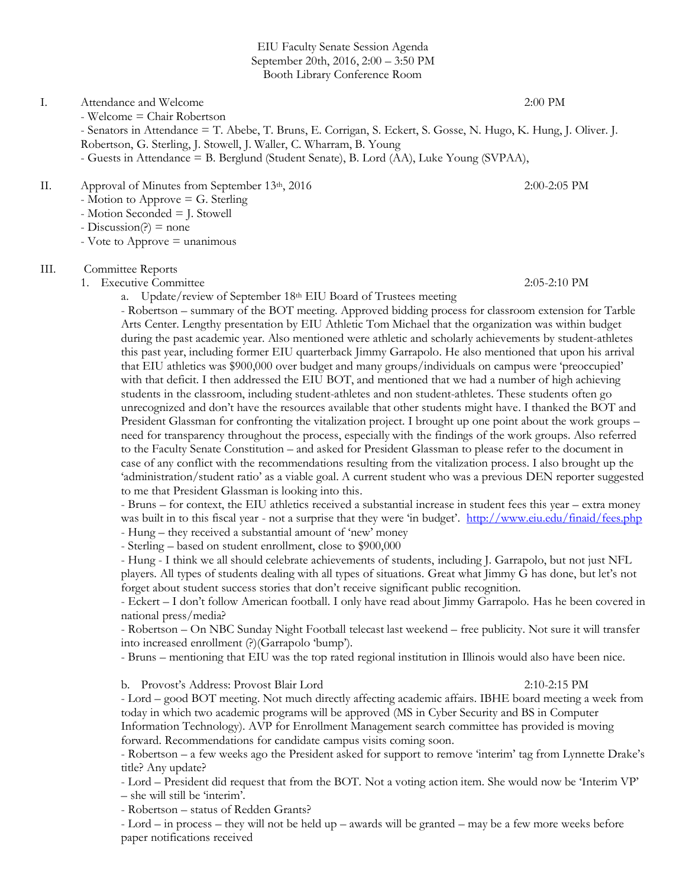EIU Faculty Senate Session Agenda September 20th, 2016, 2:00 – 3:50 PM Booth Library Conference Room

# I. Attendance and Welcome 2:00 PM

- Welcome = Chair Robertson

- Senators in Attendance = T. Abebe, T. Bruns, E. Corrigan, S. Eckert, S. Gosse, N. Hugo, K. Hung, J. Oliver. J.

- Robertson, G. Sterling, J. Stowell, J. Waller, C. Wharram, B. Young
- Guests in Attendance = B. Berglund (Student Senate), B. Lord (AA), Luke Young (SVPAA),

# II. Approval of Minutes from September 13<sup>th</sup>, 2016 2:00-2:05 PM

- Motion to Approve = G. Sterling
- Motion Seconded = J. Stowell
- $-Discussion(?) = none$
- $-$  Vote to Approve  $=$  unanimous

### III. Committee Reports

1. Executive Committee 2:05-2:10 PM

a. Update/review of September 18th EIU Board of Trustees meeting

- Robertson – summary of the BOT meeting. Approved bidding process for classroom extension for Tarble Arts Center. Lengthy presentation by EIU Athletic Tom Michael that the organization was within budget during the past academic year. Also mentioned were athletic and scholarly achievements by student-athletes this past year, including former EIU quarterback Jimmy Garrapolo. He also mentioned that upon his arrival that EIU athletics was \$900,000 over budget and many groups/individuals on campus were 'preoccupied' with that deficit. I then addressed the EIU BOT, and mentioned that we had a number of high achieving students in the classroom, including student-athletes and non student-athletes. These students often go unrecognized and don't have the resources available that other students might have. I thanked the BOT and President Glassman for confronting the vitalization project. I brought up one point about the work groups – need for transparency throughout the process, especially with the findings of the work groups. Also referred to the Faculty Senate Constitution – and asked for President Glassman to please refer to the document in case of any conflict with the recommendations resulting from the vitalization process. I also brought up the 'administration/student ratio' as a viable goal. A current student who was a previous DEN reporter suggested to me that President Glassman is looking into this.

- Bruns – for context, the EIU athletics received a substantial increase in student fees this year – extra money was built in to this fiscal year - not a surprise that they were 'in budget'. <http://www.eiu.edu/finaid/fees.php> - Hung – they received a substantial amount of 'new' money

- Sterling – based on student enrollment, close to \$900,000

- Hung - I think we all should celebrate achievements of students, including J. Garrapolo, but not just NFL players. All types of students dealing with all types of situations. Great what Jimmy G has done, but let's not forget about student success stories that don't receive significant public recognition.

- Eckert – I don't follow American football. I only have read about Jimmy Garrapolo. Has he been covered in national press/media?

- Robertson – On NBC Sunday Night Football telecast last weekend – free publicity. Not sure it will transfer into increased enrollment (?)(Garrapolo 'bump').

- Bruns – mentioning that EIU was the top rated regional institution in Illinois would also have been nice.

b. Provost's Address: Provost Blair Lord 2:10-2:15 PM

- Lord – good BOT meeting. Not much directly affecting academic affairs. IBHE board meeting a week from today in which two academic programs will be approved (MS in Cyber Security and BS in Computer Information Technology). AVP for Enrollment Management search committee has provided is moving forward. Recommendations for candidate campus visits coming soon.

- Robertson – a few weeks ago the President asked for support to remove 'interim' tag from Lynnette Drake's title? Any update?

- Lord – President did request that from the BOT. Not a voting action item. She would now be 'Interim VP' – she will still be 'interim'.

- Robertson – status of Redden Grants?

- Lord – in process – they will not be held up – awards will be granted – may be a few more weeks before paper notifications received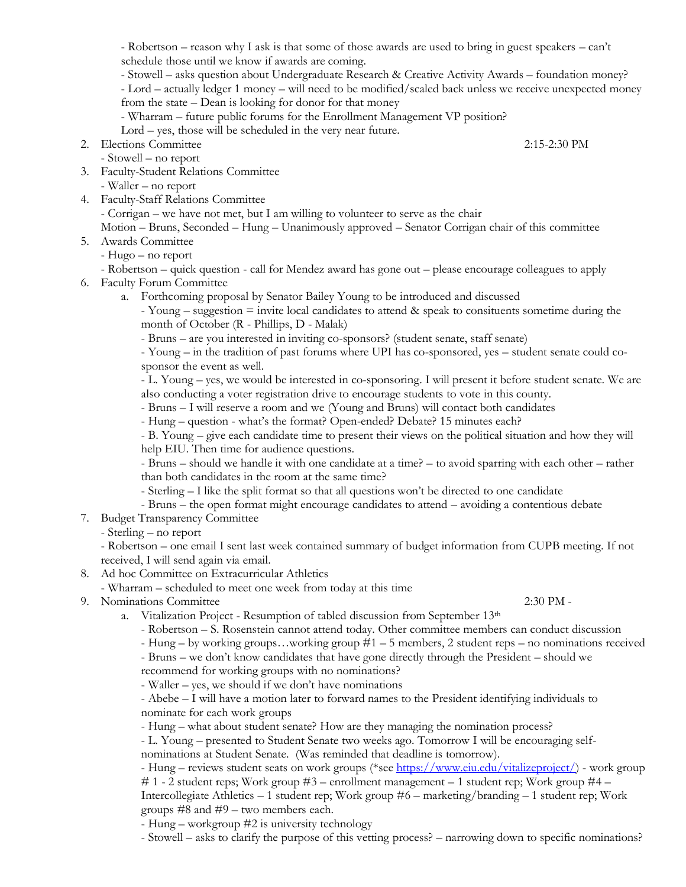- Robertson – reason why I ask is that some of those awards are used to bring in guest speakers – can't schedule those until we know if awards are coming.

- Stowell – asks question about Undergraduate Research & Creative Activity Awards – foundation money?

- Lord – actually ledger 1 money – will need to be modified/scaled back unless we receive unexpected money from the state – Dean is looking for donor for that money

- Wharram – future public forums for the Enrollment Management VP position?

Lord – yes, those will be scheduled in the very near future.

2. Elections Committee 2:15-2:30 PM

- Stowell – no report

3. Faculty-Student Relations Committee

- Waller – no report

4. Faculty-Staff Relations Committee - Corrigan – we have not met, but I am willing to volunteer to serve as the chair Motion – Bruns, Seconded – Hung – Unanimously approved – Senator Corrigan chair of this committee

# 5. Awards Committee

- Hugo – no report

- Robertson – quick question - call for Mendez award has gone out – please encourage colleagues to apply

6. Faculty Forum Committee

a. Forthcoming proposal by Senator Bailey Young to be introduced and discussed

- Young – suggestion = invite local candidates to attend & speak to consituents sometime during the month of October (R - Phillips, D - Malak)

- Bruns – are you interested in inviting co-sponsors? (student senate, staff senate)

- Young – in the tradition of past forums where UPI has co-sponsored, yes – student senate could cosponsor the event as well.

- L. Young – yes, we would be interested in co-sponsoring. I will present it before student senate. We are also conducting a voter registration drive to encourage students to vote in this county.

- Bruns – I will reserve a room and we (Young and Bruns) will contact both candidates

- Hung – question - what's the format? Open-ended? Debate? 15 minutes each?

- B. Young – give each candidate time to present their views on the political situation and how they will help EIU. Then time for audience questions.

- Bruns – should we handle it with one candidate at a time? – to avoid sparring with each other – rather than both candidates in the room at the same time?

- Sterling – I like the split format so that all questions won't be directed to one candidate

- Bruns the open format might encourage candidates to attend avoiding a contentious debate
- 7. Budget Transparency Committee

- Sterling – no report

- Robertson – one email I sent last week contained summary of budget information from CUPB meeting. If not received, I will send again via email.

- 8. Ad hoc Committee on Extracurricular Athletics
	- Wharram scheduled to meet one week from today at this time
- 9. Nominations Committee 2:30 PM -

a. Vitalization Project - Resumption of tabled discussion from September 13<sup>th</sup>

- Robertson S. Rosenstein cannot attend today. Other committee members can conduct discussion
- Hung by working groups…working group #1 5 members, 2 student reps no nominations received

- Bruns – we don't know candidates that have gone directly through the President – should we

recommend for working groups with no nominations?

- Waller – yes, we should if we don't have nominations

- Abebe – I will have a motion later to forward names to the President identifying individuals to nominate for each work groups

- Hung – what about student senate? How are they managing the nomination process?

- L. Young – presented to Student Senate two weeks ago. Tomorrow I will be encouraging selfnominations at Student Senate. (Was reminded that deadline is tomorrow).

- Hung – reviews student seats on work groups (\*se[e https://www.eiu.edu/vitalizeproject/\)](https://www.eiu.edu/vitalizeproject/) - work group

# 1 - 2 student reps; Work group #3 – enrollment management – 1 student rep; Work group #4 – Intercollegiate Athletics – 1 student rep; Work group #6 – marketing/branding – 1 student rep; Work groups #8 and #9 – two members each.

- Hung – workgroup #2 is university technology

- Stowell – asks to clarify the purpose of this vetting process? – narrowing down to specific nominations?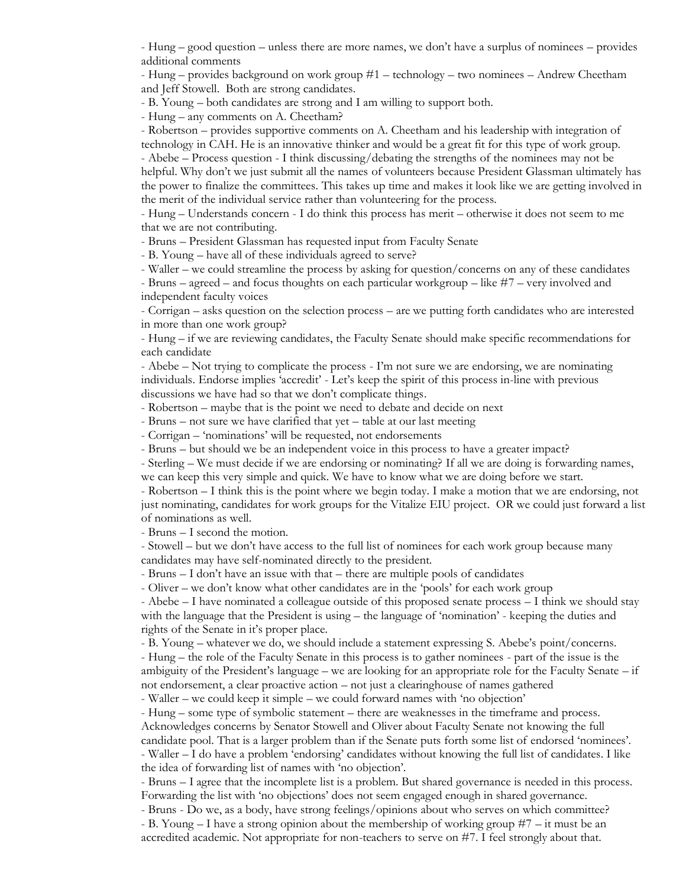- Hung – good question – unless there are more names, we don't have a surplus of nominees – provides additional comments

- Hung – provides background on work group #1 – technology – two nominees – Andrew Cheetham and Jeff Stowell. Both are strong candidates.

- B. Young – both candidates are strong and I am willing to support both.

- Hung – any comments on A. Cheetham?

- Robertson – provides supportive comments on A. Cheetham and his leadership with integration of technology in CAH. He is an innovative thinker and would be a great fit for this type of work group. - Abebe – Process question - I think discussing/debating the strengths of the nominees may not be helpful. Why don't we just submit all the names of volunteers because President Glassman ultimately has the power to finalize the committees. This takes up time and makes it look like we are getting involved in the merit of the individual service rather than volunteering for the process.

- Hung – Understands concern - I do think this process has merit – otherwise it does not seem to me that we are not contributing.

- Bruns – President Glassman has requested input from Faculty Senate

- B. Young – have all of these individuals agreed to serve?

- Waller – we could streamline the process by asking for question/concerns on any of these candidates

- Bruns – agreed – and focus thoughts on each particular workgroup – like #7 – very involved and independent faculty voices

- Corrigan – asks question on the selection process – are we putting forth candidates who are interested in more than one work group?

- Hung – if we are reviewing candidates, the Faculty Senate should make specific recommendations for each candidate

- Abebe – Not trying to complicate the process - I'm not sure we are endorsing, we are nominating individuals. Endorse implies 'accredit' - Let's keep the spirit of this process in-line with previous discussions we have had so that we don't complicate things.

- Robertson – maybe that is the point we need to debate and decide on next

- Bruns – not sure we have clarified that yet – table at our last meeting

- Corrigan – 'nominations' will be requested, not endorsements

- Bruns – but should we be an independent voice in this process to have a greater impact?

- Sterling – We must decide if we are endorsing or nominating? If all we are doing is forwarding names, we can keep this very simple and quick. We have to know what we are doing before we start.

- Robertson – I think this is the point where we begin today. I make a motion that we are endorsing, not just nominating, candidates for work groups for the Vitalize EIU project. OR we could just forward a list of nominations as well.

- Bruns – I second the motion.

- Stowell – but we don't have access to the full list of nominees for each work group because many candidates may have self-nominated directly to the president.

- Bruns – I don't have an issue with that – there are multiple pools of candidates

- Oliver – we don't know what other candidates are in the 'pools' for each work group

- Abebe – I have nominated a colleague outside of this proposed senate process – I think we should stay with the language that the President is using – the language of 'nomination' - keeping the duties and rights of the Senate in it's proper place.

- B. Young – whatever we do, we should include a statement expressing S. Abebe's point/concerns.

- Hung – the role of the Faculty Senate in this process is to gather nominees - part of the issue is the ambiguity of the President's language – we are looking for an appropriate role for the Faculty Senate – if not endorsement, a clear proactive action – not just a clearinghouse of names gathered

- Waller – we could keep it simple – we could forward names with 'no objection'

- Hung – some type of symbolic statement – there are weaknesses in the timeframe and process.

Acknowledges concerns by Senator Stowell and Oliver about Faculty Senate not knowing the full candidate pool. That is a larger problem than if the Senate puts forth some list of endorsed 'nominees'. - Waller – I do have a problem 'endorsing' candidates without knowing the full list of candidates. I like the idea of forwarding list of names with 'no objection'.

- Bruns – I agree that the incomplete list is a problem. But shared governance is needed in this process. Forwarding the list with 'no objections' does not seem engaged enough in shared governance.

- Bruns - Do we, as a body, have strong feelings/opinions about who serves on which committee?

- B. Young – I have a strong opinion about the membership of working group #7 – it must be an accredited academic. Not appropriate for non-teachers to serve on #7. I feel strongly about that.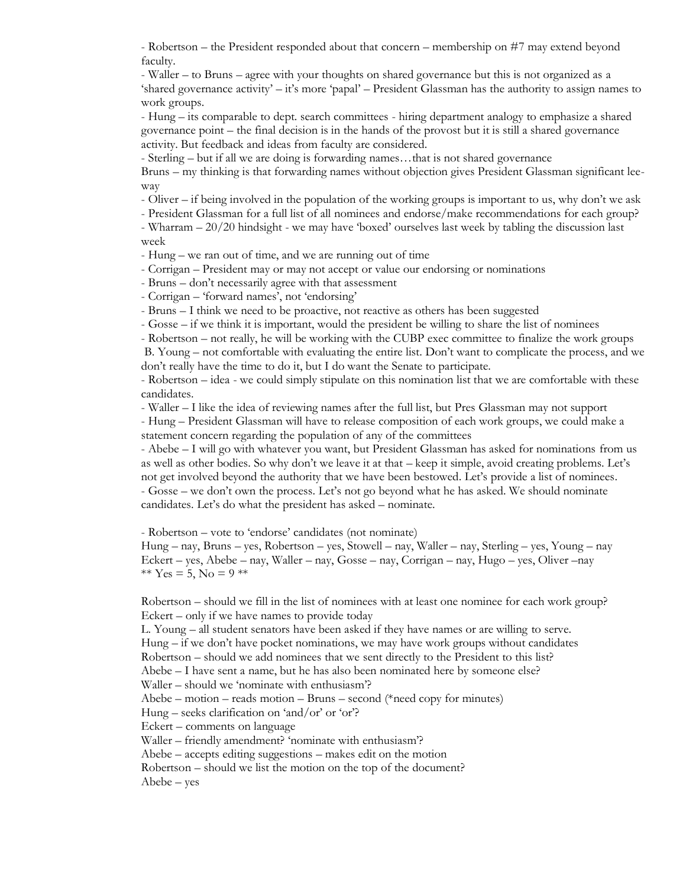- Robertson – the President responded about that concern – membership on #7 may extend beyond faculty.

- Waller – to Bruns – agree with your thoughts on shared governance but this is not organized as a 'shared governance activity' – it's more 'papal' – President Glassman has the authority to assign names to work groups.

- Hung – its comparable to dept. search committees - hiring department analogy to emphasize a shared governance point – the final decision is in the hands of the provost but it is still a shared governance activity. But feedback and ideas from faculty are considered.

- Sterling – but if all we are doing is forwarding names…that is not shared governance

Bruns – my thinking is that forwarding names without objection gives President Glassman significant leeway

- Oliver – if being involved in the population of the working groups is important to us, why don't we ask

- President Glassman for a full list of all nominees and endorse/make recommendations for each group? - Wharram – 20/20 hindsight - we may have 'boxed' ourselves last week by tabling the discussion last week

- Hung – we ran out of time, and we are running out of time

- Corrigan – President may or may not accept or value our endorsing or nominations

- Bruns – don't necessarily agree with that assessment

- Corrigan – 'forward names', not 'endorsing'

- Bruns – I think we need to be proactive, not reactive as others has been suggested

- Gosse – if we think it is important, would the president be willing to share the list of nominees

- Robertson – not really, he will be working with the CUBP exec committee to finalize the work groups B. Young – not comfortable with evaluating the entire list. Don't want to complicate the process, and we don't really have the time to do it, but I do want the Senate to participate.

- Robertson – idea - we could simply stipulate on this nomination list that we are comfortable with these candidates.

- Waller – I like the idea of reviewing names after the full list, but Pres Glassman may not support

- Hung – President Glassman will have to release composition of each work groups, we could make a statement concern regarding the population of any of the committees

- Abebe – I will go with whatever you want, but President Glassman has asked for nominations from us as well as other bodies. So why don't we leave it at that – keep it simple, avoid creating problems. Let's not get involved beyond the authority that we have been bestowed. Let's provide a list of nominees. - Gosse – we don't own the process. Let's not go beyond what he has asked. We should nominate candidates. Let's do what the president has asked – nominate.

- Robertson – vote to 'endorse' candidates (not nominate)

Hung – nay, Bruns – yes, Robertson – yes, Stowell – nay, Waller – nay, Sterling – yes, Young – nay Eckert – yes, Abebe – nay, Waller – nay, Gosse – nay, Corrigan – nay, Hugo – yes, Oliver –nay \*\*  $Yes = 5$ ,  $No = 9$  \*\*

Robertson – should we fill in the list of nominees with at least one nominee for each work group? Eckert – only if we have names to provide today

L. Young – all student senators have been asked if they have names or are willing to serve. Hung – if we don't have pocket nominations, we may have work groups without candidates Robertson – should we add nominees that we sent directly to the President to this list? Abebe – I have sent a name, but he has also been nominated here by someone else?

Waller – should we 'nominate with enthusiasm'?

Abebe – motion – reads motion – Bruns – second (\*need copy for minutes)

Hung – seeks clarification on 'and/or' or 'or'?

Eckert – comments on language

Waller – friendly amendment? 'nominate with enthusiasm'?

Abebe – accepts editing suggestions – makes edit on the motion

Robertson – should we list the motion on the top of the document?

Abebe – yes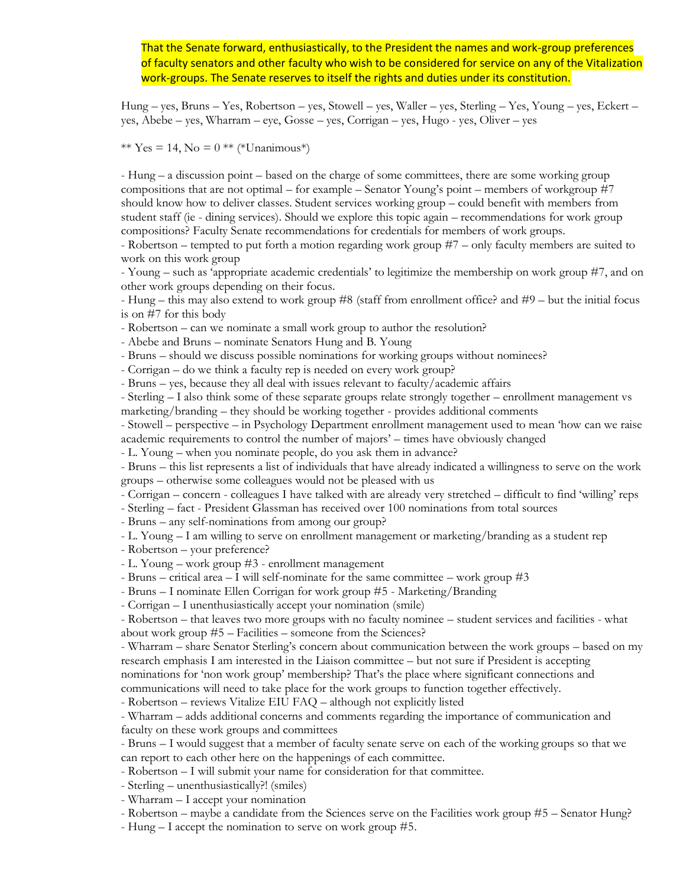That the Senate forward, enthusiastically, to the President the names and work-group preferences of faculty senators and other faculty who wish to be considered for service on any of the Vitalization work-groups. The Senate reserves to itself the rights and duties under its constitution.

Hung – yes, Bruns – Yes, Robertson – yes, Stowell – yes, Waller – yes, Sterling – Yes, Young – yes, Eckert – yes, Abebe – yes, Wharram – eye, Gosse – yes, Corrigan – yes, Hugo - yes, Oliver – yes

\*\* Yes = 14, No =  $0$  \*\* (\*Unanimous\*)

- Hung – a discussion point – based on the charge of some committees, there are some working group compositions that are not optimal – for example – Senator Young's point – members of workgroup #7 should know how to deliver classes. Student services working group – could benefit with members from student staff (ie - dining services). Should we explore this topic again – recommendations for work group compositions? Faculty Senate recommendations for credentials for members of work groups.

- Robertson – tempted to put forth a motion regarding work group #7 – only faculty members are suited to work on this work group

- Young – such as 'appropriate academic credentials' to legitimize the membership on work group #7, and on other work groups depending on their focus.

- Hung – this may also extend to work group #8 (staff from enrollment office? and #9 – but the initial focus is on #7 for this body

- Robertson – can we nominate a small work group to author the resolution?

- Abebe and Bruns – nominate Senators Hung and B. Young

- Bruns – should we discuss possible nominations for working groups without nominees?

- Corrigan – do we think a faculty rep is needed on every work group?

- Bruns – yes, because they all deal with issues relevant to faculty/academic affairs

- Sterling – I also think some of these separate groups relate strongly together – enrollment management vs marketing/branding – they should be working together - provides additional comments

- Stowell – perspective – in Psychology Department enrollment management used to mean 'how can we raise academic requirements to control the number of majors' – times have obviously changed

- L. Young – when you nominate people, do you ask them in advance?

- Bruns – this list represents a list of individuals that have already indicated a willingness to serve on the work groups – otherwise some colleagues would not be pleased with us

- Corrigan – concern - colleagues I have talked with are already very stretched – difficult to find 'willing' reps

- Sterling – fact - President Glassman has received over 100 nominations from total sources

- Bruns – any self-nominations from among our group?

- L. Young – I am willing to serve on enrollment management or marketing/branding as a student rep

- Robertson – your preference?

- L. Young – work group #3 - enrollment management

- Bruns – critical area – I will self-nominate for the same committee – work group #3

- Bruns – I nominate Ellen Corrigan for work group #5 - Marketing/Branding

- Corrigan – I unenthusiastically accept your nomination (smile)

- Robertson – that leaves two more groups with no faculty nominee – student services and facilities - what about work group #5 – Facilities – someone from the Sciences?

- Wharram – share Senator Sterling's concern about communication between the work groups – based on my research emphasis I am interested in the Liaison committee – but not sure if President is accepting

nominations for 'non work group' membership? That's the place where significant connections and communications will need to take place for the work groups to function together effectively.

- Robertson – reviews Vitalize EIU FAQ – although not explicitly listed

- Wharram – adds additional concerns and comments regarding the importance of communication and faculty on these work groups and committees

- Bruns – I would suggest that a member of faculty senate serve on each of the working groups so that we can report to each other here on the happenings of each committee.

- Robertson – I will submit your name for consideration for that committee.

- Sterling – unenthusiastically?! (smiles)

- Wharram – I accept your nomination

- Robertson – maybe a candidate from the Sciences serve on the Facilities work group #5 – Senator Hung?

- Hung – I accept the nomination to serve on work group #5.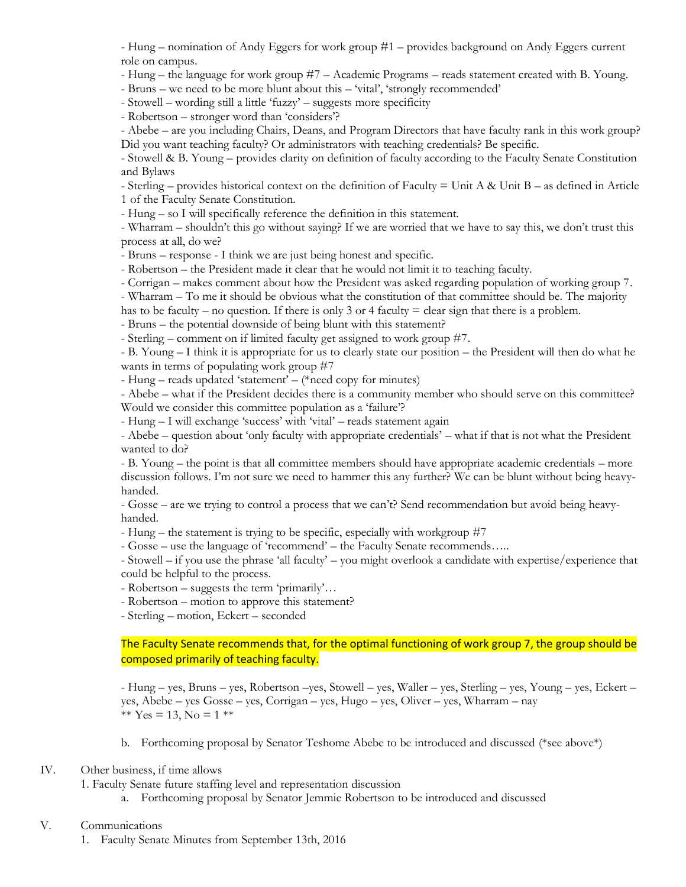- Hung – nomination of Andy Eggers for work group #1 – provides background on Andy Eggers current role on campus.

- Hung – the language for work group #7 – Academic Programs – reads statement created with B. Young.

- Bruns – we need to be more blunt about this – 'vital', 'strongly recommended'

- Stowell – wording still a little 'fuzzy' – suggests more specificity

- Robertson – stronger word than 'considers'?

- Abebe – are you including Chairs, Deans, and Program Directors that have faculty rank in this work group? Did you want teaching faculty? Or administrators with teaching credentials? Be specific.

- Stowell & B. Young – provides clarity on definition of faculty according to the Faculty Senate Constitution and Bylaws

- Sterling – provides historical context on the definition of Faculty  $=$  Unit A & Unit B – as defined in Article 1 of the Faculty Senate Constitution.

- Hung – so I will specifically reference the definition in this statement.

- Wharram – shouldn't this go without saying? If we are worried that we have to say this, we don't trust this process at all, do we?

- Bruns – response - I think we are just being honest and specific.

- Robertson – the President made it clear that he would not limit it to teaching faculty.

- Corrigan – makes comment about how the President was asked regarding population of working group 7.

- Wharram – To me it should be obvious what the constitution of that committee should be. The majority

has to be faculty – no question. If there is only 3 or 4 faculty  $=$  clear sign that there is a problem.

- Bruns – the potential downside of being blunt with this statement?

- Sterling – comment on if limited faculty get assigned to work group #7.

- B. Young – I think it is appropriate for us to clearly state our position – the President will then do what he wants in terms of populating work group #7

- Hung – reads updated 'statement' – (\*need copy for minutes)

- Abebe – what if the President decides there is a community member who should serve on this committee? Would we consider this committee population as a 'failure'?

- Hung – I will exchange 'success' with 'vital' – reads statement again

- Abebe – question about 'only faculty with appropriate credentials' – what if that is not what the President wanted to do?

- B. Young – the point is that all committee members should have appropriate academic credentials – more discussion follows. I'm not sure we need to hammer this any further? We can be blunt without being heavyhanded.

- Gosse – are we trying to control a process that we can't? Send recommendation but avoid being heavyhanded.

- Hung – the statement is trying to be specific, especially with workgroup #7

- Gosse – use the language of 'recommend' – the Faculty Senate recommends…..

- Stowell – if you use the phrase 'all faculty' – you might overlook a candidate with expertise/experience that could be helpful to the process.

- Robertson – suggests the term 'primarily'…

- Robertson – motion to approve this statement?

- Sterling – motion, Eckert – seconded

The Faculty Senate recommends that, for the optimal functioning of work group 7, the group should be composed primarily of teaching faculty.

- Hung – yes, Bruns – yes, Robertson –yes, Stowell – yes, Waller – yes, Sterling – yes, Young – yes, Eckert – yes, Abebe – yes Gosse – yes, Corrigan – yes, Hugo – yes, Oliver – yes, Wharram – nay \*\*  $Yes = 13$ ,  $No = 1$  \*\*

b. Forthcoming proposal by Senator Teshome Abebe to be introduced and discussed (\*see above\*)

### IV. Other business, if time allows

1. Faculty Senate future staffing level and representation discussion

a. Forthcoming proposal by Senator Jemmie Robertson to be introduced and discussed

# V. Communications

1. Faculty Senate Minutes from September 13th, 2016